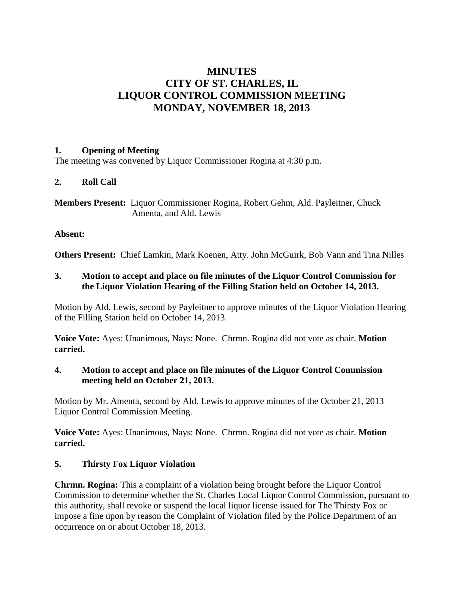# **MINUTES CITY OF ST. CHARLES, IL LIQUOR CONTROL COMMISSION MEETING MONDAY, NOVEMBER 18, 2013**

## **1. Opening of Meeting**

The meeting was convened by Liquor Commissioner Rogina at 4:30 p.m.

# **2. Roll Call**

**Members Present:** Liquor Commissioner Rogina, Robert Gehm, Ald. Payleitner, Chuck Amenta, and Ald. Lewis

## **Absent:**

**Others Present:** Chief Lamkin, Mark Koenen, Atty. John McGuirk, Bob Vann and Tina Nilles

## **3. Motion to accept and place on file minutes of the Liquor Control Commission for the Liquor Violation Hearing of the Filling Station held on October 14, 2013.**

Motion by Ald. Lewis, second by Payleitner to approve minutes of the Liquor Violation Hearing of the Filling Station held on October 14, 2013.

**Voice Vote:** Ayes: Unanimous, Nays: None. Chrmn. Rogina did not vote as chair. **Motion carried.**

# **4. Motion to accept and place on file minutes of the Liquor Control Commission meeting held on October 21, 2013.**

Motion by Mr. Amenta, second by Ald. Lewis to approve minutes of the October 21, 2013 Liquor Control Commission Meeting.

**Voice Vote:** Ayes: Unanimous, Nays: None. Chrmn. Rogina did not vote as chair. **Motion carried.**

# **5. Thirsty Fox Liquor Violation**

**Chrmn. Rogina:** This a complaint of a violation being brought before the Liquor Control Commission to determine whether the St. Charles Local Liquor Control Commission, pursuant to this authority, shall revoke or suspend the local liquor license issued for The Thirsty Fox or impose a fine upon by reason the Complaint of Violation filed by the Police Department of an occurrence on or about October 18, 2013.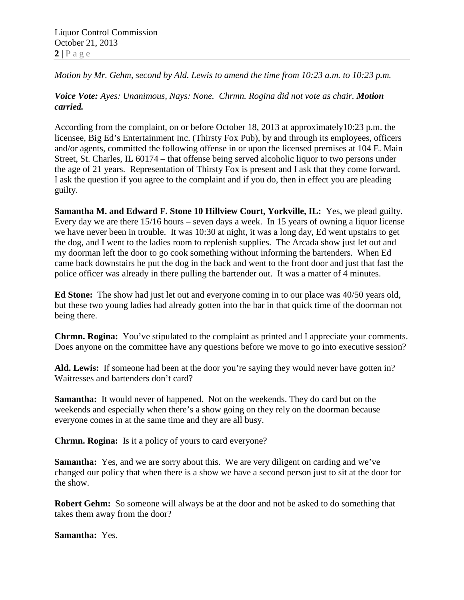Liquor Control Commission October 21, 2013  $2 | P \text{ a } g \text{ e}$ 

*Motion by Mr. Gehm, second by Ald. Lewis to amend the time from 10:23 a.m. to 10:23 p.m.*

## *Voice Vote: Ayes: Unanimous, Nays: None. Chrmn. Rogina did not vote as chair. Motion carried.*

According from the complaint, on or before October 18, 2013 at approximately10:23 p.m. the licensee, Big Ed's Entertainment Inc. (Thirsty Fox Pub), by and through its employees, officers and/or agents, committed the following offense in or upon the licensed premises at 104 E. Main Street, St. Charles, IL 60174 – that offense being served alcoholic liquor to two persons under the age of 21 years. Representation of Thirsty Fox is present and I ask that they come forward. I ask the question if you agree to the complaint and if you do, then in effect you are pleading guilty.

**Samantha M. and Edward F. Stone 10 Hillview Court, Yorkville, IL:** Yes, we plead guilty. Every day we are there 15/16 hours – seven days a week. In 15 years of owning a liquor license we have never been in trouble. It was 10:30 at night, it was a long day, Ed went upstairs to get the dog, and I went to the ladies room to replenish supplies. The Arcada show just let out and my doorman left the door to go cook something without informing the bartenders. When Ed came back downstairs he put the dog in the back and went to the front door and just that fast the police officer was already in there pulling the bartender out. It was a matter of 4 minutes.

**Ed Stone:** The show had just let out and everyone coming in to our place was 40/50 years old, but these two young ladies had already gotten into the bar in that quick time of the doorman not being there.

**Chrmn. Rogina:** You've stipulated to the complaint as printed and I appreciate your comments. Does anyone on the committee have any questions before we move to go into executive session?

**Ald. Lewis:** If someone had been at the door you're saying they would never have gotten in? Waitresses and bartenders don't card?

**Samantha:** It would never of happened. Not on the weekends. They do card but on the weekends and especially when there's a show going on they rely on the doorman because everyone comes in at the same time and they are all busy.

**Chrmn. Rogina:** Is it a policy of yours to card everyone?

**Samantha:** Yes, and we are sorry about this. We are very diligent on carding and we've changed our policy that when there is a show we have a second person just to sit at the door for the show.

**Robert Gehm:** So someone will always be at the door and not be asked to do something that takes them away from the door?

**Samantha:** Yes.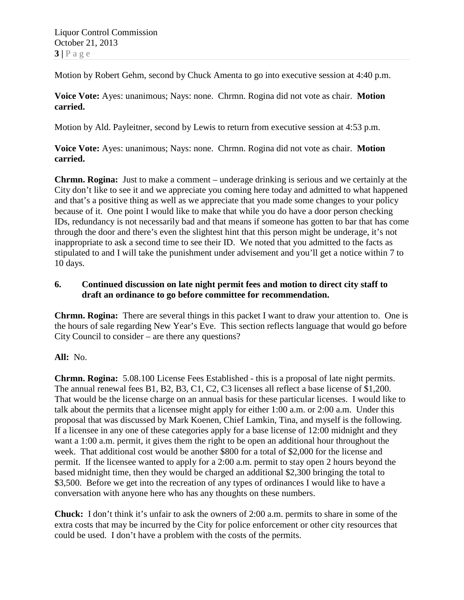Motion by Robert Gehm, second by Chuck Amenta to go into executive session at 4:40 p.m.

**Voice Vote:** Ayes: unanimous; Nays: none. Chrmn. Rogina did not vote as chair. **Motion carried.**

Motion by Ald. Payleitner, second by Lewis to return from executive session at 4:53 p.m.

**Voice Vote:** Ayes: unanimous; Nays: none. Chrmn. Rogina did not vote as chair. **Motion carried.**

**Chrmn. Rogina:** Just to make a comment – underage drinking is serious and we certainly at the City don't like to see it and we appreciate you coming here today and admitted to what happened and that's a positive thing as well as we appreciate that you made some changes to your policy because of it. One point I would like to make that while you do have a door person checking IDs, redundancy is not necessarily bad and that means if someone has gotten to bar that has come through the door and there's even the slightest hint that this person might be underage, it's not inappropriate to ask a second time to see their ID. We noted that you admitted to the facts as stipulated to and I will take the punishment under advisement and you'll get a notice within 7 to 10 days.

#### **6. Continued discussion on late night permit fees and motion to direct city staff to draft an ordinance to go before committee for recommendation.**

**Chrmn. Rogina:** There are several things in this packet I want to draw your attention to. One is the hours of sale regarding New Year's Eve. This section reflects language that would go before City Council to consider – are there any questions?

#### **All:** No.

**Chrmn. Rogina:** 5.08.100 License Fees Established - this is a proposal of late night permits. The annual renewal fees B1, B2, B3, C1, C2, C3 licenses all reflect a base license of \$1,200. That would be the license charge on an annual basis for these particular licenses. I would like to talk about the permits that a licensee might apply for either 1:00 a.m. or 2:00 a.m. Under this proposal that was discussed by Mark Koenen, Chief Lamkin, Tina, and myself is the following. If a licensee in any one of these categories apply for a base license of 12:00 midnight and they want a 1:00 a.m. permit, it gives them the right to be open an additional hour throughout the week. That additional cost would be another \$800 for a total of \$2,000 for the license and permit. If the licensee wanted to apply for a 2:00 a.m. permit to stay open 2 hours beyond the based midnight time, then they would be charged an additional \$2,300 bringing the total to \$3,500. Before we get into the recreation of any types of ordinances I would like to have a conversation with anyone here who has any thoughts on these numbers.

**Chuck:** I don't think it's unfair to ask the owners of 2:00 a.m. permits to share in some of the extra costs that may be incurred by the City for police enforcement or other city resources that could be used. I don't have a problem with the costs of the permits.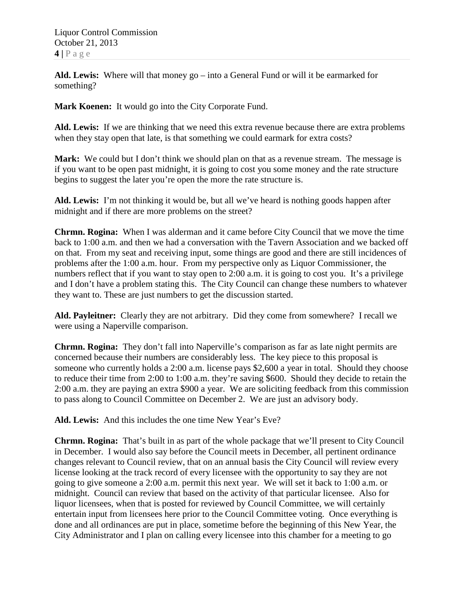Liquor Control Commission October 21, 2013 **4 |** Page

**Ald. Lewis:** Where will that money go – into a General Fund or will it be earmarked for something?

**Mark Koenen:** It would go into the City Corporate Fund.

**Ald. Lewis:** If we are thinking that we need this extra revenue because there are extra problems when they stay open that late, is that something we could earmark for extra costs?

Mark: We could but I don't think we should plan on that as a revenue stream. The message is if you want to be open past midnight, it is going to cost you some money and the rate structure begins to suggest the later you're open the more the rate structure is.

**Ald. Lewis:** I'm not thinking it would be, but all we've heard is nothing goods happen after midnight and if there are more problems on the street?

**Chrmn. Rogina:** When I was alderman and it came before City Council that we move the time back to 1:00 a.m. and then we had a conversation with the Tavern Association and we backed off on that. From my seat and receiving input, some things are good and there are still incidences of problems after the 1:00 a.m. hour. From my perspective only as Liquor Commissioner, the numbers reflect that if you want to stay open to 2:00 a.m. it is going to cost you. It's a privilege and I don't have a problem stating this. The City Council can change these numbers to whatever they want to. These are just numbers to get the discussion started.

**Ald. Payleitner:** Clearly they are not arbitrary. Did they come from somewhere? I recall we were using a Naperville comparison.

**Chrmn. Rogina:** They don't fall into Naperville's comparison as far as late night permits are concerned because their numbers are considerably less. The key piece to this proposal is someone who currently holds a 2:00 a.m. license pays \$2,600 a year in total. Should they choose to reduce their time from 2:00 to 1:00 a.m. they're saving \$600. Should they decide to retain the 2:00 a.m. they are paying an extra \$900 a year. We are soliciting feedback from this commission to pass along to Council Committee on December 2. We are just an advisory body.

**Ald. Lewis:** And this includes the one time New Year's Eve?

**Chrmn. Rogina:** That's built in as part of the whole package that we'll present to City Council in December. I would also say before the Council meets in December, all pertinent ordinance changes relevant to Council review, that on an annual basis the City Council will review every license looking at the track record of every licensee with the opportunity to say they are not going to give someone a 2:00 a.m. permit this next year. We will set it back to 1:00 a.m. or midnight. Council can review that based on the activity of that particular licensee. Also for liquor licensees, when that is posted for reviewed by Council Committee, we will certainly entertain input from licensees here prior to the Council Committee voting. Once everything is done and all ordinances are put in place, sometime before the beginning of this New Year, the City Administrator and I plan on calling every licensee into this chamber for a meeting to go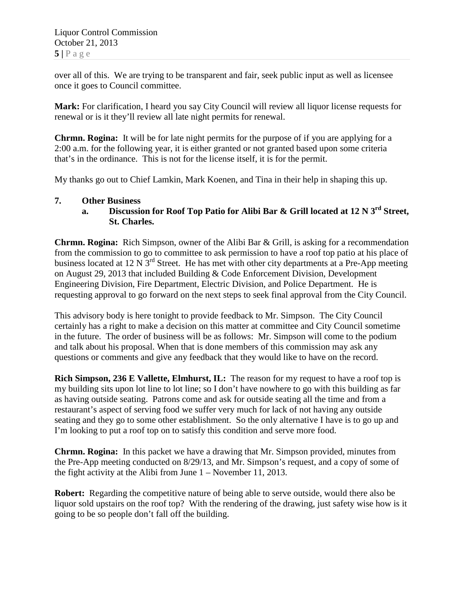over all of this. We are trying to be transparent and fair, seek public input as well as licensee once it goes to Council committee.

**Mark:** For clarification, I heard you say City Council will review all liquor license requests for renewal or is it they'll review all late night permits for renewal.

**Chrmn. Rogina:** It will be for late night permits for the purpose of if you are applying for a 2:00 a.m. for the following year, it is either granted or not granted based upon some criteria that's in the ordinance. This is not for the license itself, it is for the permit.

My thanks go out to Chief Lamkin, Mark Koenen, and Tina in their help in shaping this up.

#### **7. Other Business**

**a. Discussion for Roof Top Patio for Alibi Bar & Grill located at 12 N 3rd Street, St. Charles.**

**Chrmn. Rogina:** Rich Simpson, owner of the Alibi Bar & Grill, is asking for a recommendation from the commission to go to committee to ask permission to have a roof top patio at his place of business located at 12 N 3rd Street. He has met with other city departments at a Pre-App meeting on August 29, 2013 that included Building & Code Enforcement Division, Development Engineering Division, Fire Department, Electric Division, and Police Department. He is requesting approval to go forward on the next steps to seek final approval from the City Council.

This advisory body is here tonight to provide feedback to Mr. Simpson. The City Council certainly has a right to make a decision on this matter at committee and City Council sometime in the future. The order of business will be as follows: Mr. Simpson will come to the podium and talk about his proposal. When that is done members of this commission may ask any questions or comments and give any feedback that they would like to have on the record.

**Rich Simpson, 236 E Vallette, Elmhurst, IL:** The reason for my request to have a roof top is my building sits upon lot line to lot line; so I don't have nowhere to go with this building as far as having outside seating. Patrons come and ask for outside seating all the time and from a restaurant's aspect of serving food we suffer very much for lack of not having any outside seating and they go to some other establishment. So the only alternative I have is to go up and I'm looking to put a roof top on to satisfy this condition and serve more food.

**Chrmn. Rogina:** In this packet we have a drawing that Mr. Simpson provided, minutes from the Pre-App meeting conducted on 8/29/13, and Mr. Simpson's request, and a copy of some of the fight activity at the Alibi from June 1 – November 11, 2013.

**Robert:** Regarding the competitive nature of being able to serve outside, would there also be liquor sold upstairs on the roof top? With the rendering of the drawing, just safety wise how is it going to be so people don't fall off the building.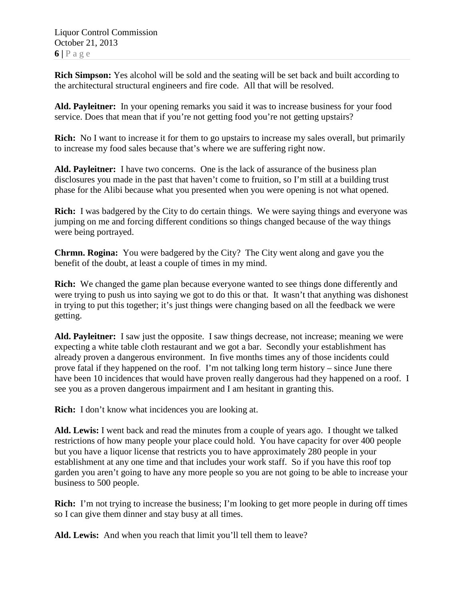**Rich Simpson:** Yes alcohol will be sold and the seating will be set back and built according to the architectural structural engineers and fire code. All that will be resolved.

**Ald. Payleitner:** In your opening remarks you said it was to increase business for your food service. Does that mean that if you're not getting food you're not getting upstairs?

**Rich:** No I want to increase it for them to go upstairs to increase my sales overall, but primarily to increase my food sales because that's where we are suffering right now.

**Ald. Payleitner:** I have two concerns. One is the lack of assurance of the business plan disclosures you made in the past that haven't come to fruition, so I'm still at a building trust phase for the Alibi because what you presented when you were opening is not what opened.

**Rich:** I was badgered by the City to do certain things. We were saying things and everyone was jumping on me and forcing different conditions so things changed because of the way things were being portrayed.

**Chrmn. Rogina:** You were badgered by the City? The City went along and gave you the benefit of the doubt, at least a couple of times in my mind.

**Rich:** We changed the game plan because everyone wanted to see things done differently and were trying to push us into saying we got to do this or that. It wasn't that anything was dishonest in trying to put this together; it's just things were changing based on all the feedback we were getting.

**Ald. Payleitner:** I saw just the opposite. I saw things decrease, not increase; meaning we were expecting a white table cloth restaurant and we got a bar. Secondly your establishment has already proven a dangerous environment. In five months times any of those incidents could prove fatal if they happened on the roof. I'm not talking long term history – since June there have been 10 incidences that would have proven really dangerous had they happened on a roof. I see you as a proven dangerous impairment and I am hesitant in granting this.

**Rich:** I don't know what incidences you are looking at.

**Ald. Lewis:** I went back and read the minutes from a couple of years ago. I thought we talked restrictions of how many people your place could hold. You have capacity for over 400 people but you have a liquor license that restricts you to have approximately 280 people in your establishment at any one time and that includes your work staff. So if you have this roof top garden you aren't going to have any more people so you are not going to be able to increase your business to 500 people.

**Rich:** I'm not trying to increase the business; I'm looking to get more people in during off times so I can give them dinner and stay busy at all times.

**Ald. Lewis:** And when you reach that limit you'll tell them to leave?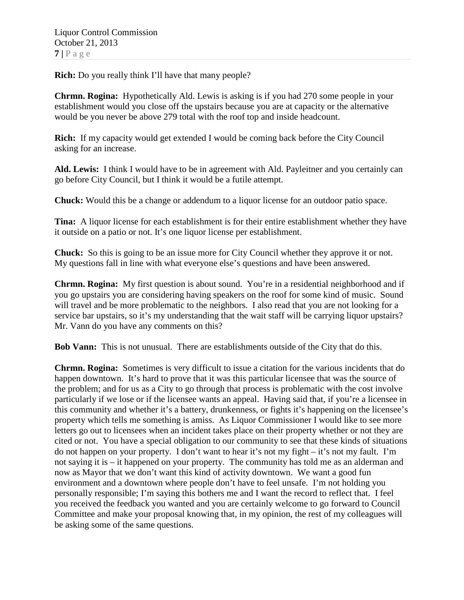**Rich:** Do you really think I'll have that many people?

**Chrmn. Rogina:** Hypothetically Ald. Lewis is asking is if you had 270 some people in your establishment would you close off the upstairs because you are at capacity or the alternative would be you never be above 279 total with the roof top and inside headcount.

**Rich:** If my capacity would get extended I would be coming back before the City Council asking for an increase.

**Ald. Lewis:** I think I would have to be in agreement with Ald. Payleitner and you certainly can go before City Council, but I think it would be a futile attempt.

**Chuck:** Would this be a change or addendum to a liquor license for an outdoor patio space.

**Tina:** A liquor license for each establishment is for their entire establishment whether they have it outside on a patio or not. It's one liquor license per establishment.

**Chuck:** So this is going to be an issue more for City Council whether they approve it or not. My questions fall in line with what everyone else's questions and have been answered.

**Chrmn. Rogina:** My first question is about sound. You're in a residential neighborhood and if you go upstairs you are considering having speakers on the roof for some kind of music. Sound will travel and be more problematic to the neighbors. I also read that you are not looking for a service bar upstairs, so it's my understanding that the wait staff will be carrying liquor upstairs? Mr. Vann do you have any comments on this?

**Bob Vann:** This is not unusual. There are establishments outside of the City that do this.

**Chrmn. Rogina:** Sometimes is very difficult to issue a citation for the various incidents that do happen downtown. It's hard to prove that it was this particular licensee that was the source of the problem; and for us as a City to go through that process is problematic with the cost involve particularly if we lose or if the licensee wants an appeal. Having said that, if you're a licensee in this community and whether it's a battery, drunkenness, or fights it's happening on the licensee's property which tells me something is amiss. As Liquor Commissioner I would like to see more letters go out to licensees when an incident takes place on their property whether or not they are cited or not. You have a special obligation to our community to see that these kinds of situations do not happen on your property. I don't want to hear it's not my fight – it's not my fault. I'm not saying it is – it happened on your property. The community has told me as an alderman and now as Mayor that we don't want this kind of activity downtown. We want a good fun environment and a downtown where people don't have to feel unsafe. I'm not holding you personally responsible; I'm saying this bothers me and I want the record to reflect that. I feel you received the feedback you wanted and you are certainly welcome to go forward to Council Committee and make your proposal knowing that, in my opinion, the rest of my colleagues will be asking some of the same questions.